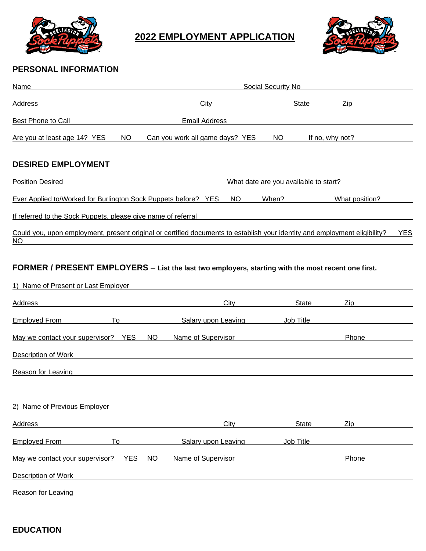

## **2022 EMPLOYMENT APPLICATION**



## **PERSONAL INFORMATION**

| Name                                                                                                                                      |                                               | Social Security No         |                                       |                |  |  |
|-------------------------------------------------------------------------------------------------------------------------------------------|-----------------------------------------------|----------------------------|---------------------------------------|----------------|--|--|
| Address                                                                                                                                   |                                               | City                       | <b>State</b>                          | Zip            |  |  |
| Best Phone to Call                                                                                                                        | <b>Email Address</b>                          |                            |                                       |                |  |  |
| Are you at least age 14? YES                                                                                                              | Can you work all game days? YES<br><b>NO</b>  |                            | <b>NO</b><br>If no, why not?          |                |  |  |
| <b>DESIRED EMPLOYMENT</b>                                                                                                                 |                                               |                            |                                       |                |  |  |
| <b>Position Desired</b>                                                                                                                   |                                               |                            | What date are you available to start? |                |  |  |
| Ever Applied to/Worked for Burlington Sock Puppets before? YES                                                                            |                                               | <b>NO</b>                  | When?                                 | What position? |  |  |
| If referred to the Sock Puppets, please give name of referral                                                                             |                                               |                            |                                       |                |  |  |
| Could you, upon employment, present original or certified documents to establish your identity and employment eligibility?<br><b>NO</b>   |                                               |                            |                                       | <b>YES</b>     |  |  |
| FORMER / PRESENT EMPLOYERS - List the last two employers, starting with the most recent one first.<br>1) Name of Present or Last Employer |                                               |                            |                                       |                |  |  |
| <b>Address</b>                                                                                                                            |                                               | City                       | State                                 | Zip            |  |  |
| <b>Employed From</b><br>To                                                                                                                |                                               | <b>Salary upon Leaving</b> | Job Title                             |                |  |  |
| May we contact your supervisor? YES                                                                                                       | NO                                            | Name of Supervisor         |                                       | Phone          |  |  |
| Description of Work                                                                                                                       |                                               |                            |                                       |                |  |  |
| <b>Reason for Leaving</b>                                                                                                                 |                                               |                            |                                       |                |  |  |
| 2) Name of Previous Employer                                                                                                              |                                               |                            |                                       |                |  |  |
| Address                                                                                                                                   |                                               | City                       | <b>State</b>                          | Zip            |  |  |
| <b>Employed From</b><br>To                                                                                                                |                                               | Salary upon Leaving        | Job Title                             |                |  |  |
| May we contact your supervisor?                                                                                                           | <b>YES</b><br>Name of Supervisor<br><b>NO</b> |                            |                                       | Phone          |  |  |
| <b>Description of Work</b>                                                                                                                |                                               |                            |                                       |                |  |  |
| Reason for Leaving                                                                                                                        |                                               |                            |                                       |                |  |  |